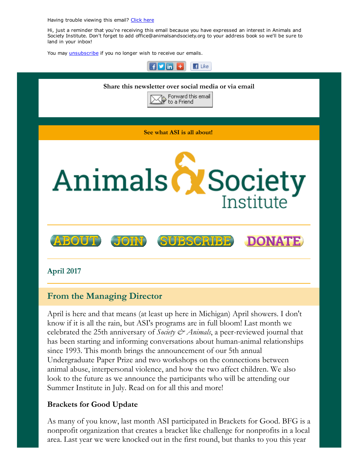Having trouble viewing this email? [Click](http://campaign.r20.constantcontact.com/render?ca=8c7869c7-d6f2-458e-99b2-090b2f181ad4&preview=true&m=1117082078075&id=preview) here

Hi, just a reminder that you're receiving this email because you have expressed an interest in Animals and Society Institute. Don't forget to add office@animalsandsociety.org to your address book so we'll be sure to land in your inbox!

You may *[unsubscribe](https://visitor.constantcontact.com/do?p=un&mse=0016u8cGCOk4ijLe6EYFlbq8UmlFeKV0nFU&t=0017z4eFUsfIxoc2ZQE_dL35A%3D%3D&id=001b-xBWU3VMkcM8dYr8taaWXSJRe02Iknl&llr=88spulqab)* if you no longer wish to receive our emails.



# From the Managing Director

April is here and that means (at least up here in Michigan) April showers. I don't know if it is all the rain, but ASI's programs are in full bloom! Last month we celebrated the 25th anniversary of *Society & Animals*, a peer-reviewed journal that has been starting and informing conversations about human-animal relationships since 1993. This month brings the announcement of our 5th annual Undergraduate Paper Prize and two workshops on the connections between animal abuse, interpersonal violence, and how the two affect children. We also look to the future as we announce the participants who will be attending our Summer Institute in July. Read on for all this and more!

### Brackets for Good Update

As many of you know, last month ASI participated in Brackets for Good. BFG is a nonprofit organization that creates a bracket like challenge for nonprofits in a local area. Last year we were knocked out in the first round, but thanks to you this year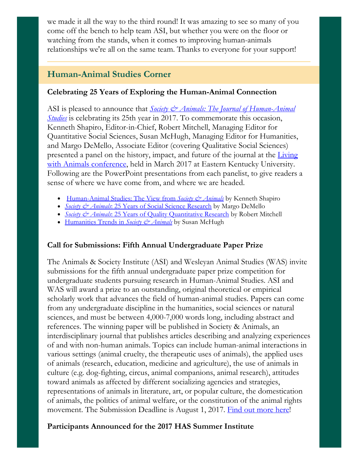we made it all the way to the third round! It was amazing to see so many of you come off the bench to help team ASI, but whether you were on the floor or watching from the stands, when it comes to improving human-animals relationships we're all on the same team. Thanks to everyone for your support!

# Human-Animal Studies Corner

### Celebrating 25 Years of Exploring the Human-Animal Connection

ASI is pleased to announce that *Society & Animals: The Journal of Human-Animal Studies* is celebrating its 25th year in 2017. To [commemorate](https://www.animalsandsociety.org/human-animal-studies/society-and-animals-journal/) this occasion, Kenneth Shapiro, Editor-in-Chief, Robert Mitchell, Managing Editor for Quantitative Social Sciences, Susan McHugh, Managing Editor for Humanities, and Margo DeMello, Associate Editor (covering Qualitative Social Sciences) presented a panel on the history, impact, and future of the journal at the *Living* with Animals [conference,](http://livingwithanimals.eku.edu/) held in March 2017 at Eastern Kentucky University. Following are the PowerPoint presentations from each panelist, to give readers a sense of where we have come from, and where we are headed.

- [Human-Animal](http://www.animalsandsociety.org/wp-content/uploads/2017/02/anniversary-eku-Shapiro.pptx) Studies: The View from *Society & Animals* by Kenneth Shapiro
- *Society & Animals*: 25 Years of Social Science [Research](http://www.animalsandsociety.org/wp-content/uploads/2017/02/EKU-Social-Sciences-MD.pptx) by Margo DeMello
- *Society & Animals*: 25 Years of Quality [Quantitative](http://www.animalsandsociety.org/wp-content/uploads/2017/02/SApresMitchell.pptx) Research by Robert Mitchell
- [Humanities](http://www.animalsandsociety.org/wp-content/uploads/2017/02/McHugh-for-EKU.pptx) Trends in *Society & Animals* by Susan McHugh

### Call for Submissions: Fifth Annual Undergraduate Paper Prize

The Animals & Society Institute (ASI) and Wesleyan Animal Studies (WAS) invite submissions for the fifth annual undergraduate paper prize competition for undergraduate students pursuing research in Human-Animal Studies. ASI and WAS will award a prize to an outstanding, original theoretical or empirical scholarly work that advances the field of human-animal studies. Papers can come from any undergraduate discipline in the humanities, social sciences or natural sciences, and must be between 4,000-7,000 words long, including abstract and references. The winning paper will be published in Society & Animals, an interdisciplinary journal that publishes articles describing and analyzing experiences of and with non-human animals. Topics can include human-animal interactions in various settings (animal cruelty, the therapeutic uses of animals), the applied uses of animals (research, education, medicine and agriculture), the use of animals in culture (e.g. dog-fighting, circus, animal companions, animal research), attitudes toward animals as affected by different socializing agencies and strategies, representations of animals in literature, art, or popular culture, the domestication of animals, the politics of animal welfare, or the constitution of the animal rights movement. The Submission Deadline is August 1, 2017. Find out [more](https://www.animalsandsociety.org/human-animal-studies/undergraduate-paper-prize/) here!

### Participants Announced for the 2017 HAS Summer Institute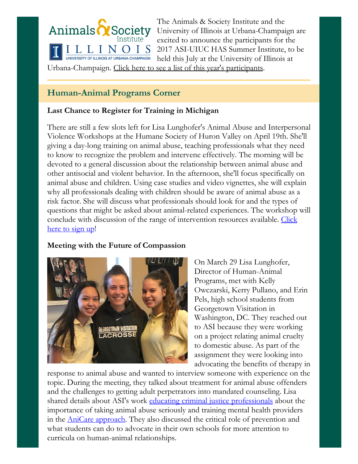

The Animals & Society Institute and the University of Illinois at Urbana-Champaign are excited to announce the participants for the 2017 ASI-UIUC HAS Summer Institute, to be held this July at the University of Illinois at

Urbana-Champaign. Click here to see a list of this year's [participants](https://www.animalsandsociety.org/announcing-2017-asi-uiuc-summer-institute-participants/).

# Human-Animal Programs Corner

## Last Chance to Register for Training in Michigan

There are still a few slots left for Lisa Lunghofer's Animal Abuse and Interpersonal Violence Workshops at the Humane Society of Huron Valley on April 19th. She'll giving a day-long training on animal abuse, teaching professionals what they need to know to recognize the problem and intervene effectively. The morning will be devoted to a general discussion about the relationship between animal abuse and other antisocial and violent behavior. In the afternoon, she'll focus specifically on animal abuse and children. Using case studies and video vignettes, she will explain why all professionals dealing with children should be aware of animal abuse as a risk factor. She will discuss what professionals should look for and the types of questions that might be asked about animal-related experiences. The workshop will conclude with discussion of the range of [intervention](http://www.hshv.org/site/Calendar/1354874611?view=Detail&id=114811) resources available. Click here to sign up!

# Meeting with the Future of Compassion



On March 29 Lisa Lunghofer, Director of Human-Animal Programs, met with Kelly Owczarski, Kerry Pullano, and Erin Pels, high school students from Georgetown Visitation in Washington, DC. They reached out to ASI because they were working on a project relating animal cruelty to domestic abuse. As part of the assignment they were looking into advocating the benefits of therapy in

response to animal abuse and wanted to interview someone with experience on the topic. During the meeting, they talked about treatment for animal abuse offenders and the challenges to getting adult perpetrators into mandated counseling. Lisa shared details about ASI's work educating criminal justice [professionals](https://www.animalsandsociety.org/helping-animals-and-people/anicare-trainings/) about the importance of taking animal abuse seriously and training mental health providers in the **AniCare approach**. They also discussed the critical role of prevention and what students can do to advocate in their own schools for more attention to curricula on human-animal relationships.